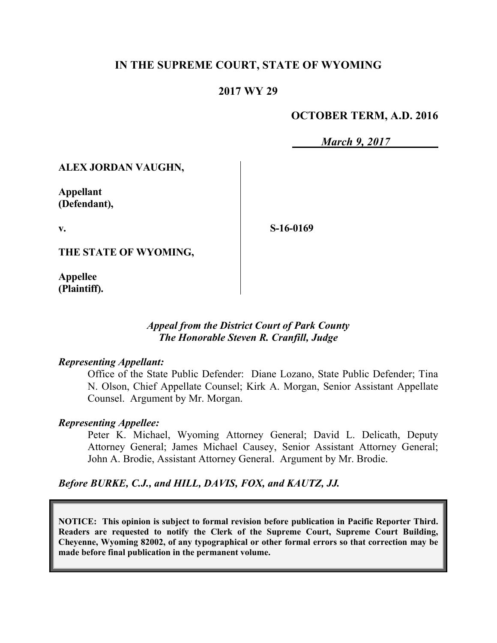## **IN THE SUPREME COURT, STATE OF WYOMING**

### **2017 WY 29**

### **OCTOBER TERM, A.D. 2016**

*March 9, 2017*

**ALEX JORDAN VAUGHN,**

**Appellant (Defendant),**

**v.**

**S-16-0169**

**THE STATE OF WYOMING,**

**Appellee (Plaintiff).**

### *Appeal from the District Court of Park County The Honorable Steven R. Cranfill, Judge*

#### *Representing Appellant:*

Office of the State Public Defender: Diane Lozano, State Public Defender; Tina N. Olson, Chief Appellate Counsel; Kirk A. Morgan, Senior Assistant Appellate Counsel. Argument by Mr. Morgan.

#### *Representing Appellee:*

Peter K. Michael, Wyoming Attorney General; David L. Delicath, Deputy Attorney General; James Michael Causey, Senior Assistant Attorney General; John A. Brodie, Assistant Attorney General. Argument by Mr. Brodie.

*Before BURKE, C.J., and HILL, DAVIS, FOX, and KAUTZ, JJ.*

**NOTICE: This opinion is subject to formal revision before publication in Pacific Reporter Third. Readers are requested to notify the Clerk of the Supreme Court, Supreme Court Building, Cheyenne, Wyoming 82002, of any typographical or other formal errors so that correction may be made before final publication in the permanent volume.**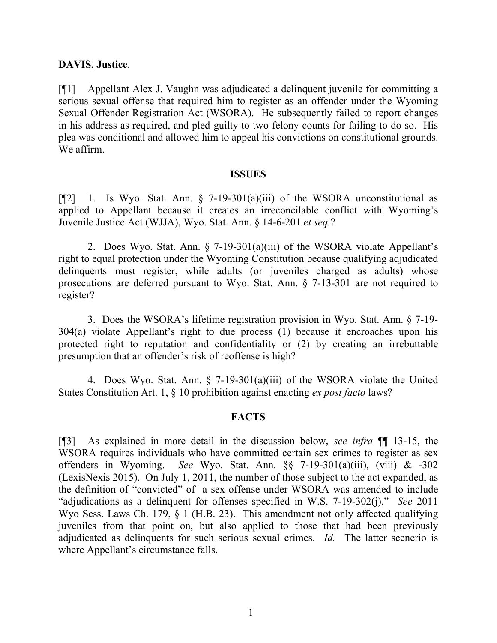### **DAVIS**, **Justice**.

[¶1] Appellant Alex J. Vaughn was adjudicated a delinquent juvenile for committing a serious sexual offense that required him to register as an offender under the Wyoming Sexual Offender Registration Act (WSORA). He subsequently failed to report changes in his address as required, and pled guilty to two felony counts for failing to do so. His plea was conditional and allowed him to appeal his convictions on constitutional grounds. We affirm.

#### **ISSUES**

[ $[$ 2] 1. Is Wyo. Stat. Ann. § 7-19-301(a)(iii) of the WSORA unconstitutional as applied to Appellant because it creates an irreconcilable conflict with Wyoming's Juvenile Justice Act (WJJA), Wyo. Stat. Ann. § 14-6-201 *et seq.*?

2. Does Wyo. Stat. Ann. § 7-19-301(a)(iii) of the WSORA violate Appellant's right to equal protection under the Wyoming Constitution because qualifying adjudicated delinquents must register, while adults (or juveniles charged as adults) whose prosecutions are deferred pursuant to Wyo. Stat. Ann. § 7-13-301 are not required to register?

3. Does the WSORA's lifetime registration provision in Wyo. Stat. Ann. § 7-19- 304(a) violate Appellant's right to due process (1) because it encroaches upon his protected right to reputation and confidentiality or (2) by creating an irrebuttable presumption that an offender's risk of reoffense is high?

4. Does Wyo. Stat. Ann. § 7-19-301(a)(iii) of the WSORA violate the United States Constitution Art. 1, § 10 prohibition against enacting *ex post facto* laws?

### **FACTS**

[¶3] As explained in more detail in the discussion below, *see infra* ¶¶ 13-15, the WSORA requires individuals who have committed certain sex crimes to register as sex offenders in Wyoming. *See* Wyo. Stat. Ann. §§ 7-19-301(a)(iii), (viii) & -302 (LexisNexis 2015). On July 1, 2011, the number of those subject to the act expanded, as the definition of "convicted" of a sex offense under WSORA was amended to include "adjudications as a delinquent for offenses specified in W.S. 7-19-302(j)." *See* 2011 Wyo Sess. Laws Ch. 179, § 1 (H.B. 23). This amendment not only affected qualifying juveniles from that point on, but also applied to those that had been previously adjudicated as delinquents for such serious sexual crimes. *Id.* The latter scenerio is where Appellant's circumstance falls.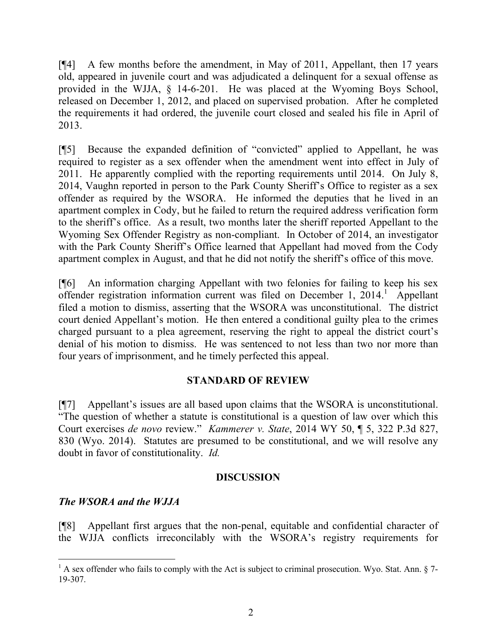[¶4] A few months before the amendment, in May of 2011, Appellant, then 17 years old, appeared in juvenile court and was adjudicated a delinquent for a sexual offense as provided in the WJJA, § 14-6-201. He was placed at the Wyoming Boys School, released on December 1, 2012, and placed on supervised probation. After he completed the requirements it had ordered, the juvenile court closed and sealed his file in April of 2013.

[¶5] Because the expanded definition of "convicted" applied to Appellant, he was required to register as a sex offender when the amendment went into effect in July of 2011. He apparently complied with the reporting requirements until 2014. On July 8, 2014, Vaughn reported in person to the Park County Sheriff's Office to register as a sex offender as required by the WSORA. He informed the deputies that he lived in an apartment complex in Cody, but he failed to return the required address verification form to the sheriff's office. As a result, two months later the sheriff reported Appellant to the Wyoming Sex Offender Registry as non-compliant. In October of 2014, an investigator with the Park County Sheriff's Office learned that Appellant had moved from the Cody apartment complex in August, and that he did not notify the sheriff's office of this move.

[¶6] An information charging Appellant with two felonies for failing to keep his sex offender registration information current was filed on December 1, 2014.<sup>1</sup> Appellant filed a motion to dismiss, asserting that the WSORA was unconstitutional. The district court denied Appellant's motion. He then entered a conditional guilty plea to the crimes charged pursuant to a plea agreement, reserving the right to appeal the district court's denial of his motion to dismiss. He was sentenced to not less than two nor more than four years of imprisonment, and he timely perfected this appeal.

## **STANDARD OF REVIEW**

[¶7] Appellant's issues are all based upon claims that the WSORA is unconstitutional. "The question of whether a statute is constitutional is a question of law over which this Court exercises *de novo* review." *Kammerer v. State*, 2014 WY 50, ¶ 5, 322 P.3d 827, 830 (Wyo. 2014). Statutes are presumed to be constitutional, and we will resolve any doubt in favor of constitutionality. *Id.*

### **DISCUSSION**

## *The WSORA and the WJJA*

[¶8] Appellant first argues that the non-penal, equitable and confidential character of the WJJA conflicts irreconcilably with the WSORA's registry requirements for

 $1$  A sex offender who fails to comply with the Act is subject to criminal prosecution. Wyo. Stat. Ann. § 7-19-307.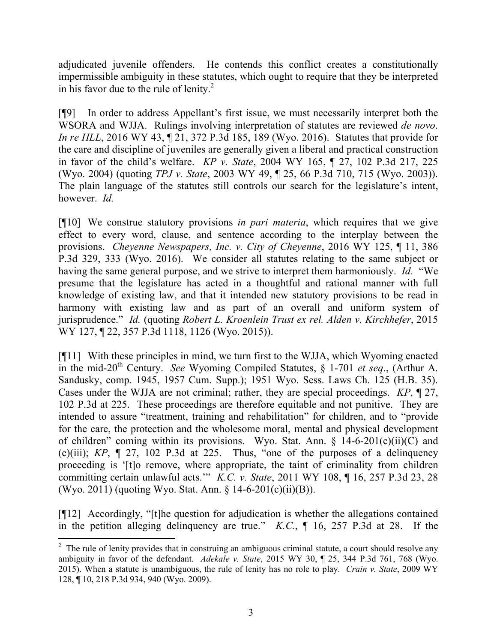adjudicated juvenile offenders. He contends this conflict creates a constitutionally impermissible ambiguity in these statutes, which ought to require that they be interpreted in his favor due to the rule of lenity. $^{2}$ 

[¶9] In order to address Appellant's first issue, we must necessarily interpret both the WSORA and WJJA. Rulings involving interpretation of statutes are reviewed *de novo*. *In re HLL*, 2016 WY 43, 121, 372 P.3d 185, 189 (Wyo. 2016). Statutes that provide for the care and discipline of juveniles are generally given a liberal and practical construction in favor of the child's welfare. *KP v. State*, 2004 WY 165, ¶ 27, 102 P.3d 217, 225 (Wyo. 2004) (quoting *TPJ v. State*, 2003 WY 49, ¶ 25, 66 P.3d 710, 715 (Wyo. 2003)). The plain language of the statutes still controls our search for the legislature's intent, however. *Id.*

[¶10] We construe statutory provisions *in pari materia*, which requires that we give effect to every word, clause, and sentence according to the interplay between the provisions. *Cheyenne Newspapers, Inc. v. City of Cheyenne*, 2016 WY 125, ¶ 11, 386 P.3d 329, 333 (Wyo. 2016). We consider all statutes relating to the same subject or having the same general purpose, and we strive to interpret them harmoniously. *Id.* "We presume that the legislature has acted in a thoughtful and rational manner with full knowledge of existing law, and that it intended new statutory provisions to be read in harmony with existing law and as part of an overall and uniform system of jurisprudence." *Id.* (quoting *Robert L. Kroenlein Trust ex rel. Alden v. Kirchhefer*, 2015 WY 127, ¶ 22, 357 P.3d 1118, 1126 (Wyo. 2015)).

[¶11] With these principles in mind, we turn first to the WJJA, which Wyoming enacted in the mid-20th Century. *See* Wyoming Compiled Statutes, § 1-701 *et seq*., (Arthur A. Sandusky, comp. 1945, 1957 Cum. Supp.); 1951 Wyo. Sess. Laws Ch. 125 (H.B. 35). Cases under the WJJA are not criminal; rather, they are special proceedings. *KP*, ¶ 27, 102 P.3d at 225. These proceedings are therefore equitable and not punitive. They are intended to assure "treatment, training and rehabilitation" for children, and to "provide for the care, the protection and the wholesome moral, mental and physical development of children" coming within its provisions. Wyo. Stat. Ann.  $\S$  14-6-201(c)(ii)(C) and (c)(iii); *KP*, ¶ 27, 102 P.3d at 225. Thus, "one of the purposes of a delinquency proceeding is '[t]o remove, where appropriate, the taint of criminality from children committing certain unlawful acts.'" *K.C. v. State*, 2011 WY 108, ¶ 16, 257 P.3d 23, 28 (Wyo. 2011) (quoting Wyo. Stat. Ann. § 14-6-201(c)(ii)(B)).

[¶12] Accordingly, "[t]he question for adjudication is whether the allegations contained in the petition alleging delinquency are true." *K.C.*, ¶ 16, 257 P.3d at 28. If the

l

 $2<sup>2</sup>$  The rule of lenity provides that in construing an ambiguous criminal statute, a court should resolve any ambiguity in favor of the defendant. *Adekale v. State*, 2015 WY 30, ¶ 25, 344 P.3d 761, 768 (Wyo. 2015). When a statute is unambiguous, the rule of lenity has no role to play. *Crain v. State*, 2009 WY 128, ¶ 10, 218 P.3d 934, 940 (Wyo. 2009).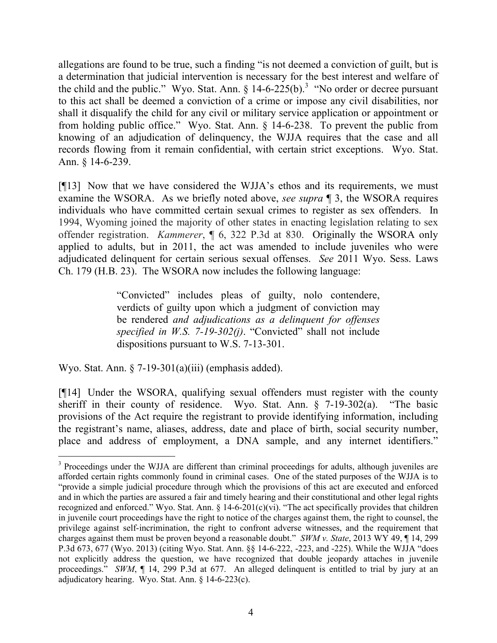allegations are found to be true, such a finding "is not deemed a conviction of guilt, but is a determination that judicial intervention is necessary for the best interest and welfare of the child and the public." Wyo. Stat. Ann.  $\S$  14-6-225(b).<sup>3</sup> "No order or decree pursuant to this act shall be deemed a conviction of a crime or impose any civil disabilities, nor shall it disqualify the child for any civil or military service application or appointment or from holding public office." Wyo. Stat. Ann. § 14-6-238. To prevent the public from knowing of an adjudication of delinquency, the WJJA requires that the case and all records flowing from it remain confidential, with certain strict exceptions. Wyo. Stat. Ann. § 14-6-239.

[¶13] Now that we have considered the WJJA's ethos and its requirements, we must examine the WSORA. As we briefly noted above, *see supra* ¶ 3, the WSORA requires individuals who have committed certain sexual crimes to register as sex offenders. In 1994, Wyoming joined the majority of other states in enacting legislation relating to sex offender registration. *Kammerer*, ¶ 6, 322 P.3d at 830. Originally the WSORA only applied to adults, but in 2011, the act was amended to include juveniles who were adjudicated delinquent for certain serious sexual offenses. *See* 2011 Wyo. Sess. Laws Ch. 179 (H.B. 23). The WSORA now includes the following language:

> "Convicted" includes pleas of guilty, nolo contendere, verdicts of guilty upon which a judgment of conviction may be rendered *and adjudications as a delinquent for offenses specified in W.S. 7-19-302(j)*. "Convicted" shall not include dispositions pursuant to W.S. 7-13-301.

Wyo. Stat. Ann.  $\S 7-19-301(a)(iii)$  (emphasis added).

 $\overline{a}$ 

[¶14] Under the WSORA, qualifying sexual offenders must register with the county sheriff in their county of residence. Wyo. Stat. Ann. § 7-19-302(a). "The basic provisions of the Act require the registrant to provide identifying information, including the registrant's name, aliases, address, date and place of birth, social security number, place and address of employment, a DNA sample, and any internet identifiers."

<sup>&</sup>lt;sup>3</sup> Proceedings under the WJJA are different than criminal proceedings for adults, although juveniles are afforded certain rights commonly found in criminal cases. One of the stated purposes of the WJJA is to "provide a simple judicial procedure through which the provisions of this act are executed and enforced and in which the parties are assured a fair and timely hearing and their constitutional and other legal rights recognized and enforced." Wyo. Stat. Ann.  $\S 14-6-201(c)(vi)$ . "The act specifically provides that children in juvenile court proceedings have the right to notice of the charges against them, the right to counsel, the privilege against self-incrimination, the right to confront adverse witnesses, and the requirement that charges against them must be proven beyond a reasonable doubt." *SWM v. State*, 2013 WY 49, ¶ 14, 299 P.3d 673, 677 (Wyo. 2013) (citing Wyo. Stat. Ann. §§ 14-6-222, -223, and -225). While the WJJA "does not explicitly address the question, we have recognized that double jeopardy attaches in juvenile proceedings." *SWM*,  $\P$  14, 299 P.3d at 677. An alleged delinquent is entitled to trial by jury at an adjudicatory hearing. Wyo. Stat. Ann. § 14-6-223(c).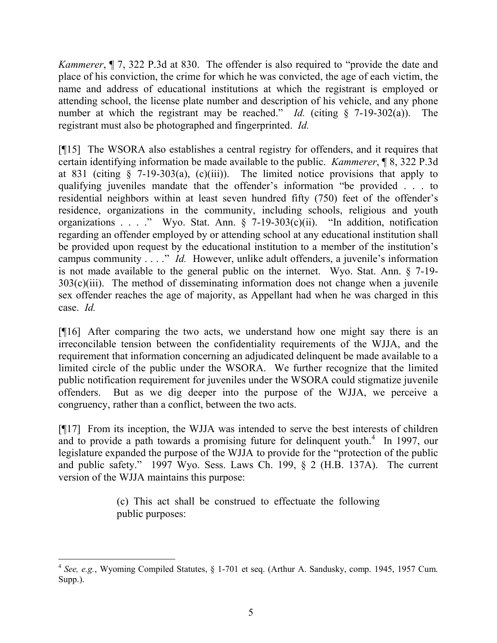*Kammerer*, ¶ 7, 322 P.3d at 830. The offender is also required to "provide the date and place of his conviction, the crime for which he was convicted, the age of each victim, the name and address of educational institutions at which the registrant is employed or attending school, the license plate number and description of his vehicle, and any phone number at which the registrant may be reached." *Id.* (citing § 7-19-302(a)). The registrant must also be photographed and fingerprinted. *Id.*

[¶15] The WSORA also establishes a central registry for offenders, and it requires that certain identifying information be made available to the public. *Kammerer*, ¶ 8, 322 P.3d at 831 (citing  $\S$  7-19-303(a), (c)(iii)). The limited notice provisions that apply to qualifying juveniles mandate that the offender's information "be provided . . . to residential neighbors within at least seven hundred fifty (750) feet of the offender's residence, organizations in the community, including schools, religious and youth organizations . . . ." Wyo. Stat. Ann. § 7-19-303(c)(ii). "In addition, notification regarding an offender employed by or attending school at any educational institution shall be provided upon request by the educational institution to a member of the institution's campus community . . . ." *Id.* However, unlike adult offenders, a juvenile's information is not made available to the general public on the internet. Wyo. Stat. Ann. § 7-19-  $303(c)(iii)$ . The method of disseminating information does not change when a juvenile sex offender reaches the age of majority, as Appellant had when he was charged in this case. *Id.*

[¶16] After comparing the two acts, we understand how one might say there is an irreconcilable tension between the confidentiality requirements of the WJJA, and the requirement that information concerning an adjudicated delinquent be made available to a limited circle of the public under the WSORA. We further recognize that the limited public notification requirement for juveniles under the WSORA could stigmatize juvenile offenders. But as we dig deeper into the purpose of the WJJA, we perceive a congruency, rather than a conflict, between the two acts.

[¶17] From its inception, the WJJA was intended to serve the best interests of children and to provide a path towards a promising future for delinquent youth. $4\,$  In 1997, our legislature expanded the purpose of the WJJA to provide for the "protection of the public and public safety." 1997 Wyo. Sess. Laws Ch. 199, § 2 (H.B. 137A). The current version of the WJJA maintains this purpose:

> (c) This act shall be construed to effectuate the following public purposes:

<sup>4</sup> *See, e.g.*, Wyoming Compiled Statutes, § 1-701 et seq. (Arthur A. Sandusky, comp. 1945, 1957 Cum. Supp.).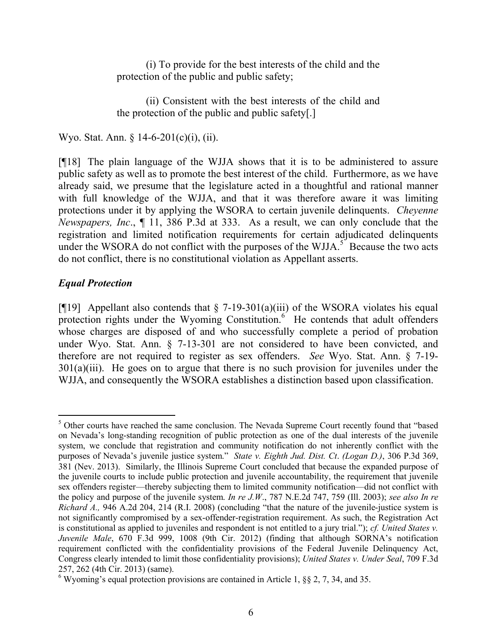(i) To provide for the best interests of the child and the protection of the public and public safety;

(ii) Consistent with the best interests of the child and the protection of the public and public safety[.]

Wyo. Stat. Ann. § 14-6-201(c)(i), (ii).

[¶18] The plain language of the WJJA shows that it is to be administered to assure public safety as well as to promote the best interest of the child. Furthermore, as we have already said, we presume that the legislature acted in a thoughtful and rational manner with full knowledge of the WJJA, and that it was therefore aware it was limiting protections under it by applying the WSORA to certain juvenile delinquents. *Cheyenne Newspapers, Inc*., ¶ 11, 386 P.3d at 333. As a result, we can only conclude that the registration and limited notification requirements for certain adjudicated delinquents under the WSORA do not conflict with the purposes of the WJJA.<sup>5</sup> Because the two acts do not conflict, there is no constitutional violation as Appellant asserts.

# *Equal Protection*

[ $[19]$ ] Appellant also contends that  $\S$  7-19-301(a)(iii) of the WSORA violates his equal protection rights under the Wyoming Constitution.<sup>6</sup> He contends that adult offenders whose charges are disposed of and who successfully complete a period of probation under Wyo. Stat. Ann. § 7-13-301 are not considered to have been convicted, and therefore are not required to register as sex offenders. *See* Wyo. Stat. Ann. § 7-19- 301(a)(iii). He goes on to argue that there is no such provision for juveniles under the WJJA, and consequently the WSORA establishes a distinction based upon classification.

 $\overline{a}$ <sup>5</sup> Other courts have reached the same conclusion. The Nevada Supreme Court recently found that "based" on Nevada's long-standing recognition of public protection as one of the dual interests of the juvenile system, we conclude that registration and community notification do not inherently conflict with the purposes of Nevada's juvenile justice system." *State v. Eighth Jud. Dist. Ct*. *(Logan D.)*, 306 P.3d 369, 381 (Nev. 2013). Similarly, the Illinois Supreme Court concluded that because the expanded purpose of the juvenile courts to include public protection and juvenile accountability, the requirement that juvenile sex offenders register—thereby subjecting them to limited community notification—did not conflict with the policy and purpose of the juvenile system. *In re J.W*., 787 N.E.2d 747, 759 (Ill. 2003); *see also In re Richard A.,* 946 A.2d 204, 214 (R.I. 2008) (concluding "that the nature of the juvenile-justice system is not significantly compromised by a sex-offender-registration requirement. As such, the Registration Act is constitutional as applied to juveniles and respondent is not entitled to a jury trial."); *cf. United States v. Juvenile Male*, 670 F.3d 999, 1008 (9th Cir. 2012) (finding that although SORNA's notification requirement conflicted with the confidentiality provisions of the Federal Juvenile Delinquency Act, Congress clearly intended to limit those confidentiality provisions); *United States v. Under Seal*, 709 F.3d 257, 262 (4th Cir. 2013) (same).

<sup>&</sup>lt;sup>6</sup> Wyoming's equal protection provisions are contained in Article 1,  $\S$ § 2, 7, 34, and 35.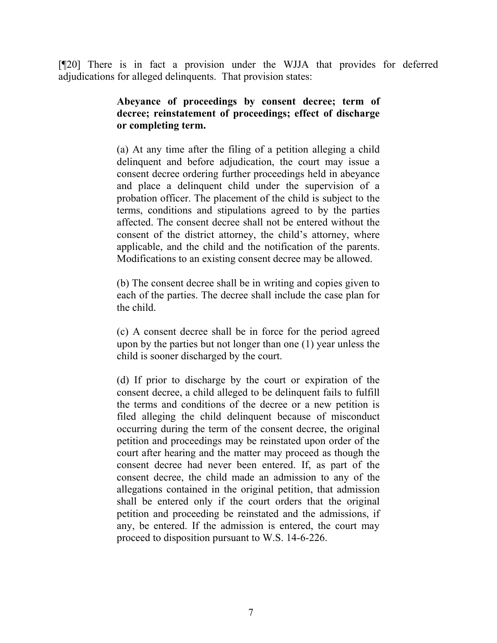[¶20] There is in fact a provision under the WJJA that provides for deferred adjudications for alleged delinquents. That provision states:

## **Abeyance of proceedings by consent decree; term of decree; reinstatement of proceedings; effect of discharge or completing term.**

(a) At any time after the filing of a petition alleging a child delinquent and before adjudication, the court may issue a consent decree ordering further proceedings held in abeyance and place a delinquent child under the supervision of a probation officer. The placement of the child is subject to the terms, conditions and stipulations agreed to by the parties affected. The consent decree shall not be entered without the consent of the district attorney, the child's attorney, where applicable, and the child and the notification of the parents. Modifications to an existing consent decree may be allowed.

(b) The consent decree shall be in writing and copies given to each of the parties. The decree shall include the case plan for the child.

(c) A consent decree shall be in force for the period agreed upon by the parties but not longer than one (1) year unless the child is sooner discharged by the court.

(d) If prior to discharge by the court or expiration of the consent decree, a child alleged to be delinquent fails to fulfill the terms and conditions of the decree or a new petition is filed alleging the child delinquent because of misconduct occurring during the term of the consent decree, the original petition and proceedings may be reinstated upon order of the court after hearing and the matter may proceed as though the consent decree had never been entered. If, as part of the consent decree, the child made an admission to any of the allegations contained in the original petition, that admission shall be entered only if the court orders that the original petition and proceeding be reinstated and the admissions, if any, be entered. If the admission is entered, the court may proceed to disposition pursuant to W.S. 14-6-226.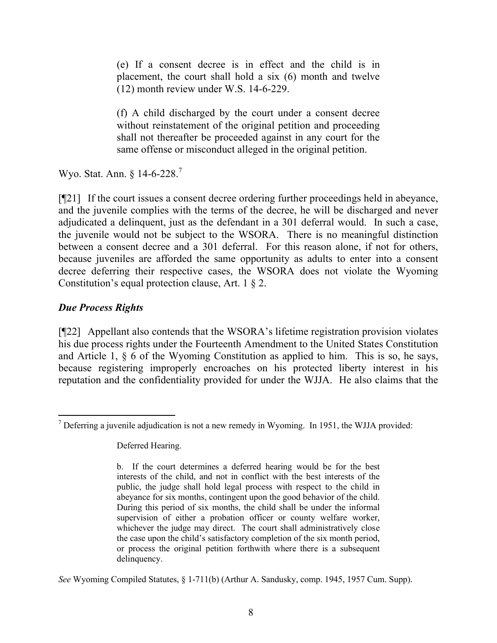(e) If a consent decree is in effect and the child is in placement, the court shall hold a six (6) month and twelve (12) month review under W.S. 14-6-229.

(f) A child discharged by the court under a consent decree without reinstatement of the original petition and proceeding shall not thereafter be proceeded against in any court for the same offense or misconduct alleged in the original petition.

Wyo. Stat. Ann. § 14-6-228.<sup>7</sup>

[¶21] If the court issues a consent decree ordering further proceedings held in abeyance, and the juvenile complies with the terms of the decree, he will be discharged and never adjudicated a delinquent, just as the defendant in a 301 deferral would. In such a case, the juvenile would not be subject to the WSORA. There is no meaningful distinction between a consent decree and a 301 deferral. For this reason alone, if not for others, because juveniles are afforded the same opportunity as adults to enter into a consent decree deferring their respective cases, the WSORA does not violate the Wyoming Constitution's equal protection clause, Art. 1 § 2.

# *Due Process Rights*

[¶22] Appellant also contends that the WSORA's lifetime registration provision violates his due process rights under the Fourteenth Amendment to the United States Constitution and Article 1, § 6 of the Wyoming Constitution as applied to him. This is so, he says, because registering improperly encroaches on his protected liberty interest in his reputation and the confidentiality provided for under the WJJA. He also claims that the

Deferred Hearing.

*See* Wyoming Compiled Statutes, § 1-711(b) (Arthur A. Sandusky, comp. 1945, 1957 Cum. Supp).

 $\overline{a}$ <sup>7</sup> Deferring a juvenile adjudication is not a new remedy in Wyoming. In 1951, the WJJA provided:

b. If the court determines a deferred hearing would be for the best interests of the child, and not in conflict with the best interests of the public, the judge shall hold legal process with respect to the child in abeyance for six months, contingent upon the good behavior of the child. During this period of six months, the child shall be under the informal supervision of either a probation officer or county welfare worker, whichever the judge may direct. The court shall administratively close the case upon the child's satisfactory completion of the six month period, or process the original petition forthwith where there is a subsequent delinquency.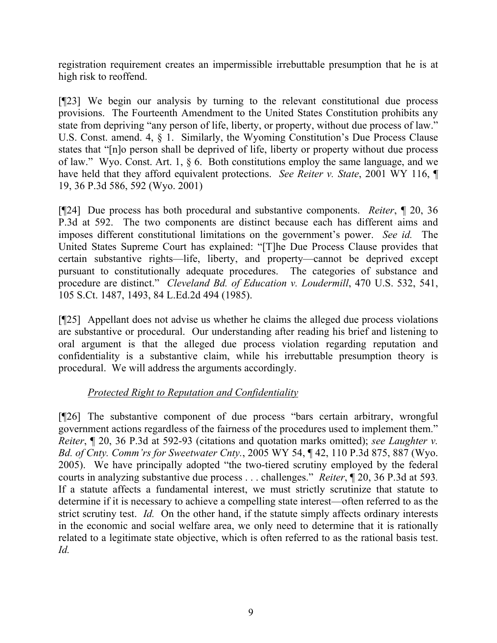registration requirement creates an impermissible irrebuttable presumption that he is at high risk to reoffend.

[¶23] We begin our analysis by turning to the relevant constitutional due process provisions. The Fourteenth Amendment to the United States Constitution prohibits any state from depriving "any person of life, liberty, or property, without due process of law." U.S. Const. amend. 4, § 1. Similarly, the Wyoming Constitution's Due Process Clause states that "[n]o person shall be deprived of life, liberty or property without due process of law." Wyo. Const. Art. 1, § 6. Both constitutions employ the same language, and we have held that they afford equivalent protections. *See Reiter v. State*, 2001 WY 116, ¶ 19, 36 P.3d 586, 592 (Wyo. 2001)

[¶24] Due process has both procedural and substantive components. *Reiter*, ¶ 20, 36 P.3d at 592. The two components are distinct because each has different aims and imposes different constitutional limitations on the government's power. *See id.* The United States Supreme Court has explained: "[T]he Due Process Clause provides that certain substantive rights—life, liberty, and property—cannot be deprived except pursuant to constitutionally adequate procedures. The categories of substance and procedure are distinct." *Cleveland Bd. of Education v. Loudermill*, 470 U.S. 532, 541, 105 S.Ct. 1487, 1493, 84 L.Ed.2d 494 (1985).

[¶25] Appellant does not advise us whether he claims the alleged due process violations are substantive or procedural. Our understanding after reading his brief and listening to oral argument is that the alleged due process violation regarding reputation and confidentiality is a substantive claim, while his irrebuttable presumption theory is procedural. We will address the arguments accordingly.

# *Protected Right to Reputation and Confidentiality*

[¶26] The substantive component of due process "bars certain arbitrary, wrongful government actions regardless of the fairness of the procedures used to implement them." *Reiter*, ¶ 20, 36 P.3d at 592-93 (citations and quotation marks omitted); *see Laughter v. Bd. of Cnty. Comm'rs for Sweetwater Cnty.*, 2005 WY 54, ¶ 42, 110 P.3d 875, 887 (Wyo. 2005). We have principally adopted "the two-tiered scrutiny employed by the federal courts in analyzing substantive due process . . . challenges." *Reiter*, ¶ 20, 36 P.3d at 593*.* If a statute affects a fundamental interest, we must strictly scrutinize that statute to determine if it is necessary to achieve a compelling state interest—often referred to as the strict scrutiny test. *Id.* On the other hand, if the statute simply affects ordinary interests in the economic and social welfare area, we only need to determine that it is rationally related to a legitimate state objective, which is often referred to as the rational basis test. *Id.*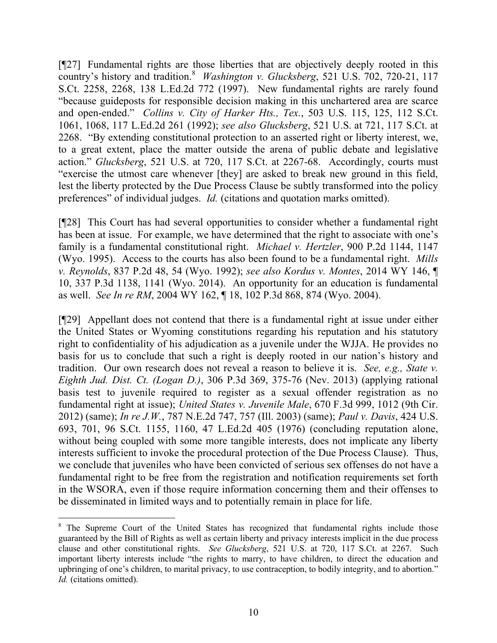[¶27] Fundamental rights are those liberties that are objectively deeply rooted in this country's history and tradition.<sup>8</sup> *Washington v. Glucksberg*, 521 U.S. 702, 720-21, 117 S.Ct. 2258, 2268, 138 L.Ed.2d 772 (1997). New fundamental rights are rarely found "because guideposts for responsible decision making in this unchartered area are scarce and open-ended." *Collins v. City of Harker Hts., Tex.*, 503 U.S. 115, 125, 112 S.Ct. 1061, 1068, 117 L.Ed.2d 261 (1992); *see also Glucksberg*, 521 U.S. at 721, 117 S.Ct. at 2268. "By extending constitutional protection to an asserted right or liberty interest, we, to a great extent, place the matter outside the arena of public debate and legislative action." *Glucksberg*, 521 U.S. at 720, 117 S.Ct. at 2267-68. Accordingly, courts must "exercise the utmost care whenever [they] are asked to break new ground in this field, lest the liberty protected by the Due Process Clause be subtly transformed into the policy preferences" of individual judges. *Id.* (citations and quotation marks omitted).

[¶28] This Court has had several opportunities to consider whether a fundamental right has been at issue. For example, we have determined that the right to associate with one's family is a fundamental constitutional right. *Michael v. Hertzler*, 900 P.2d 1144, 1147 (Wyo. 1995). Access to the courts has also been found to be a fundamental right. *Mills v. Reynolds*, 837 P.2d 48, 54 (Wyo. 1992); *see also Kordus v. Montes*, 2014 WY 146, ¶ 10, 337 P.3d 1138, 1141 (Wyo. 2014). An opportunity for an education is fundamental as well. *See In re RM*, 2004 WY 162, ¶ 18, 102 P.3d 868, 874 (Wyo. 2004).

[¶29] Appellant does not contend that there is a fundamental right at issue under either the United States or Wyoming constitutions regarding his reputation and his statutory right to confidentiality of his adjudication as a juvenile under the WJJA. He provides no basis for us to conclude that such a right is deeply rooted in our nation's history and tradition. Our own research does not reveal a reason to believe it is. *See, e.g., State v. Eighth Jud. Dist. Ct. (Logan D.)*, 306 P.3d 369, 375-76 (Nev. 2013) (applying rational basis test to juvenile required to register as a sexual offender registration as no fundamental right at issue); *United States v. Juvenile Male*, 670 F.3d 999, 1012 (9th Cir. 2012) (same); *In re J.W.*, 787 N.E.2d 747, 757 (Ill. 2003) (same); *Paul v. Davis*, 424 U.S. 693, 701, 96 S.Ct. 1155, 1160, 47 L.Ed.2d 405 (1976) (concluding reputation alone, without being coupled with some more tangible interests, does not implicate any liberty interests sufficient to invoke the procedural protection of the Due Process Clause). Thus, we conclude that juveniles who have been convicted of serious sex offenses do not have a fundamental right to be free from the registration and notification requirements set forth in the WSORA, even if those require information concerning them and their offenses to be disseminated in limited ways and to potentially remain in place for life.

<sup>&</sup>lt;sup>8</sup> The Supreme Court of the United States has recognized that fundamental rights include those guaranteed by the Bill of Rights as well as certain liberty and privacy interests implicit in the due process clause and other constitutional rights. *See Glucksberg*, 521 U.S. at 720, 117 S.Ct. at 2267. Such important liberty interests include "the rights to marry, to have children, to direct the education and upbringing of one's children, to marital privacy, to use contraception, to bodily integrity, and to abortion." *Id.* (citations omitted).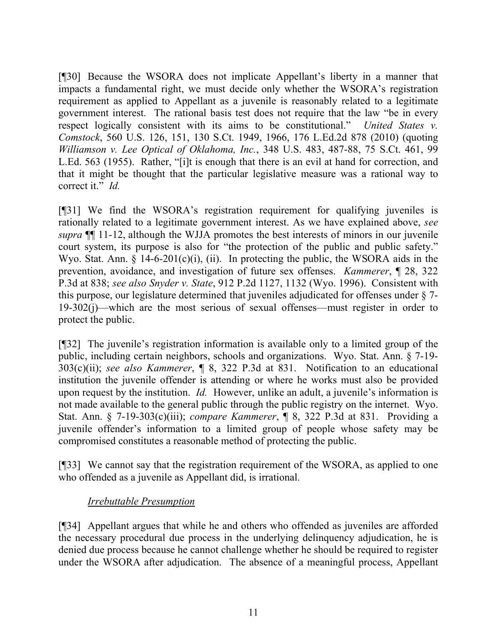[¶30] Because the WSORA does not implicate Appellant's liberty in a manner that impacts a fundamental right, we must decide only whether the WSORA's registration requirement as applied to Appellant as a juvenile is reasonably related to a legitimate government interest. The rational basis test does not require that the law "be in every respect logically consistent with its aims to be constitutional." *United States v. Comstock*, 560 U.S. 126, 151, 130 S.Ct. 1949, 1966, 176 L.Ed.2d 878 (2010) (quoting *Williamson v. Lee Optical of Oklahoma, Inc.*, 348 U.S. 483, 487-88, 75 S.Ct. 461, 99 L.Ed. 563 (1955). Rather, "[i]t is enough that there is an evil at hand for correction, and that it might be thought that the particular legislative measure was a rational way to correct it." *Id.*

[¶31] We find the WSORA's registration requirement for qualifying juveniles is rationally related to a legitimate government interest. As we have explained above, *see supra* ¶¶ 11-12, although the WJJA promotes the best interests of minors in our juvenile court system, its purpose is also for "the protection of the public and public safety." Wyo. Stat. Ann. § 14-6-201(c)(i), (ii). In protecting the public, the WSORA aids in the prevention, avoidance, and investigation of future sex offenses. *Kammerer*, ¶ 28, 322 P.3d at 838; *see also Snyder v. State*, 912 P.2d 1127, 1132 (Wyo. 1996). Consistent with this purpose, our legislature determined that juveniles adjudicated for offenses under § 7- 19-302(j)—which are the most serious of sexual offenses—must register in order to protect the public.

[¶32] The juvenile's registration information is available only to a limited group of the public, including certain neighbors, schools and organizations. Wyo. Stat. Ann. § 7-19- 303(c)(ii); *see also Kammerer*, ¶ 8, 322 P.3d at 831. Notification to an educational institution the juvenile offender is attending or where he works must also be provided upon request by the institution. *Id.* However, unlike an adult, a juvenile's information is not made available to the general public through the public registry on the internet. Wyo. Stat. Ann. § 7-19-303(c)(iii); *compare Kammerer*, ¶ 8, 322 P.3d at 831. Providing a juvenile offender's information to a limited group of people whose safety may be compromised constitutes a reasonable method of protecting the public.

[¶33] We cannot say that the registration requirement of the WSORA, as applied to one who offended as a juvenile as Appellant did, is irrational.

## *Irrebuttable Presumption*

[¶34] Appellant argues that while he and others who offended as juveniles are afforded the necessary procedural due process in the underlying delinquency adjudication, he is denied due process because he cannot challenge whether he should be required to register under the WSORA after adjudication. The absence of a meaningful process, Appellant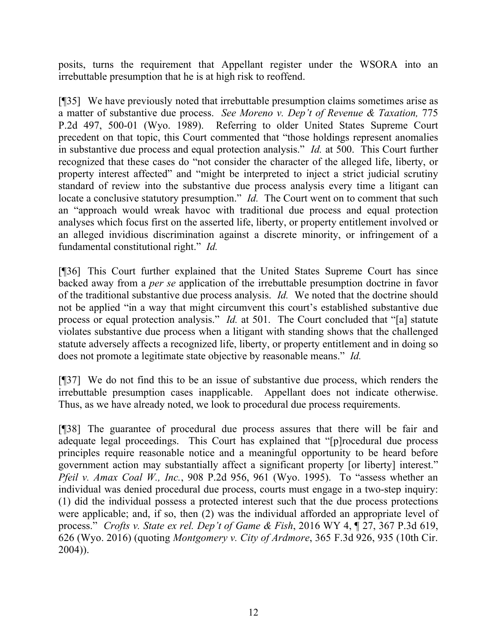posits, turns the requirement that Appellant register under the WSORA into an irrebuttable presumption that he is at high risk to reoffend.

[¶35] We have previously noted that irrebuttable presumption claims sometimes arise as a matter of substantive due process. *See Moreno v. Dep't of Revenue & Taxation,* 775 P.2d 497, 500-01 (Wyo. 1989). Referring to older United States Supreme Court precedent on that topic, this Court commented that "those holdings represent anomalies in substantive due process and equal protection analysis." *Id.* at 500. This Court further recognized that these cases do "not consider the character of the alleged life, liberty, or property interest affected" and "might be interpreted to inject a strict judicial scrutiny standard of review into the substantive due process analysis every time a litigant can locate a conclusive statutory presumption." *Id.* The Court went on to comment that such an "approach would wreak havoc with traditional due process and equal protection analyses which focus first on the asserted life, liberty, or property entitlement involved or an alleged invidious discrimination against a discrete minority, or infringement of a fundamental constitutional right." *Id.* 

[¶36] This Court further explained that the United States Supreme Court has since backed away from a *per se* application of the irrebuttable presumption doctrine in favor of the traditional substantive due process analysis. *Id.* We noted that the doctrine should not be applied "in a way that might circumvent this court's established substantive due process or equal protection analysis." *Id.* at 501. The Court concluded that "[a] statute violates substantive due process when a litigant with standing shows that the challenged statute adversely affects a recognized life, liberty, or property entitlement and in doing so does not promote a legitimate state objective by reasonable means." *Id.*

[¶37] We do not find this to be an issue of substantive due process, which renders the irrebuttable presumption cases inapplicable. Appellant does not indicate otherwise. Thus, as we have already noted, we look to procedural due process requirements.

[¶38] The guarantee of procedural due process assures that there will be fair and adequate legal proceedings. This Court has explained that "[p]rocedural due process principles require reasonable notice and a meaningful opportunity to be heard before government action may substantially affect a significant property [or liberty] interest." *Pfeil v. Amax Coal W., Inc.*, 908 P.2d 956, 961 (Wyo. 1995). To "assess whether an individual was denied procedural due process, courts must engage in a two-step inquiry: (1) did the individual possess a protected interest such that the due process protections were applicable; and, if so, then (2) was the individual afforded an appropriate level of process." *Crofts v. State ex rel. Dep't of Game & Fish*, 2016 WY 4, ¶ 27, 367 P.3d 619, 626 (Wyo. 2016) (quoting *Montgomery v. City of Ardmore*, 365 F.3d 926, 935 (10th Cir. 2004)).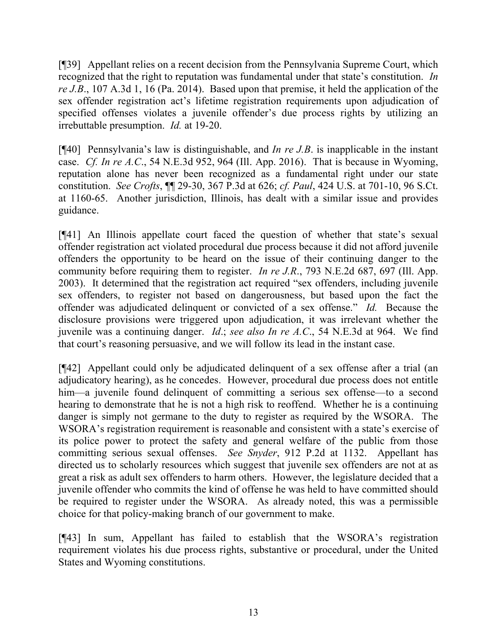[¶39] Appellant relies on a recent decision from the Pennsylvania Supreme Court, which recognized that the right to reputation was fundamental under that state's constitution. *In re J.B*., 107 A.3d 1, 16 (Pa. 2014). Based upon that premise, it held the application of the sex offender registration act's lifetime registration requirements upon adjudication of specified offenses violates a juvenile offender's due process rights by utilizing an irrebuttable presumption. *Id.* at 19-20.

[¶40] Pennsylvania's law is distinguishable, and *In re J.B*. is inapplicable in the instant case. *Cf. In re A.C*., 54 N.E.3d 952, 964 (Ill. App. 2016). That is because in Wyoming, reputation alone has never been recognized as a fundamental right under our state constitution. *See Crofts*, ¶¶ 29-30, 367 P.3d at 626; *cf. Paul*, 424 U.S. at 701-10, 96 S.Ct. at 1160-65. Another jurisdiction, Illinois, has dealt with a similar issue and provides guidance.

[¶41] An Illinois appellate court faced the question of whether that state's sexual offender registration act violated procedural due process because it did not afford juvenile offenders the opportunity to be heard on the issue of their continuing danger to the community before requiring them to register. *In re J.R*., 793 N.E.2d 687, 697 (Ill. App. 2003). It determined that the registration act required "sex offenders, including juvenile sex offenders, to register not based on dangerousness, but based upon the fact the offender was adjudicated delinquent or convicted of a sex offense." *Id.* Because the disclosure provisions were triggered upon adjudication, it was irrelevant whether the juvenile was a continuing danger. *Id*.; *see also In re A.C*., 54 N.E.3d at 964. We find that court's reasoning persuasive, and we will follow its lead in the instant case.

[¶42] Appellant could only be adjudicated delinquent of a sex offense after a trial (an adjudicatory hearing), as he concedes. However, procedural due process does not entitle him—a juvenile found delinquent of committing a serious sex offense—to a second hearing to demonstrate that he is not a high risk to reoffend. Whether he is a continuing danger is simply not germane to the duty to register as required by the WSORA. The WSORA's registration requirement is reasonable and consistent with a state's exercise of its police power to protect the safety and general welfare of the public from those committing serious sexual offenses. *See Snyder*, 912 P.2d at 1132. Appellant has directed us to scholarly resources which suggest that juvenile sex offenders are not at as great a risk as adult sex offenders to harm others. However, the legislature decided that a juvenile offender who commits the kind of offense he was held to have committed should be required to register under the WSORA. As already noted, this was a permissible choice for that policy-making branch of our government to make.

[¶43] In sum, Appellant has failed to establish that the WSORA's registration requirement violates his due process rights, substantive or procedural, under the United States and Wyoming constitutions.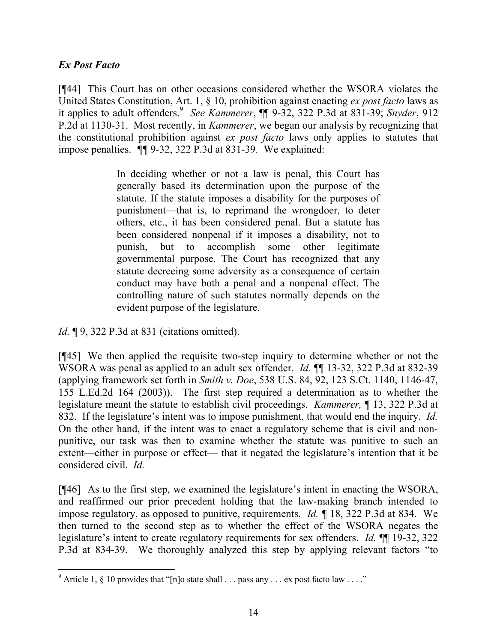## *Ex Post Facto*

l

[¶44] This Court has on other occasions considered whether the WSORA violates the United States Constitution, Art. 1, § 10, prohibition against enacting *ex post facto* laws as it applies to adult offenders.<sup>9</sup> *See Kammerer*, ¶¶ 9-32, 322 P.3d at 831-39; *Snyder*, 912 P.2d at 1130-31. Most recently, in *Kammerer*, we began our analysis by recognizing that the constitutional prohibition against *ex post facto* laws only applies to statutes that impose penalties. *¶¶* 9-32, 322 P.3d at 831-39*.* We explained:

> In deciding whether or not a law is penal, this Court has generally based its determination upon the purpose of the statute. If the statute imposes a disability for the purposes of punishment—that is, to reprimand the wrongdoer, to deter others, etc., it has been considered penal. But a statute has been considered nonpenal if it imposes a disability, not to punish, but to accomplish some other legitimate governmental purpose. The Court has recognized that any statute decreeing some adversity as a consequence of certain conduct may have both a penal and a nonpenal effect. The controlling nature of such statutes normally depends on the evident purpose of the legislature.

*Id.* **[9, 322 P.3d at 831 (citations omitted).** 

[¶45] We then applied the requisite two-step inquiry to determine whether or not the WSORA was penal as applied to an adult sex offender. *Id.* ¶¶ 13-32, 322 P.3d at 832-39 (applying framework set forth in *Smith v. Doe*, 538 U.S. 84, 92, 123 S.Ct. 1140, 1146-47, 155 L.Ed.2d 164 (2003)). The first step required a determination as to whether the legislature meant the statute to establish civil proceedings. *Kammerer,* ¶ 13, 322 P.3d at 832. If the legislature's intent was to impose punishment, that would end the inquiry. *Id.* On the other hand, if the intent was to enact a regulatory scheme that is civil and nonpunitive, our task was then to examine whether the statute was punitive to such an extent—either in purpose or effect— that it negated the legislature's intention that it be considered civil. *Id.*

[¶46] As to the first step, we examined the legislature's intent in enacting the WSORA, and reaffirmed our prior precedent holding that the law-making branch intended to impose regulatory, as opposed to punitive, requirements. *Id.* ¶ 18, 322 P.3d at 834. We then turned to the second step as to whether the effect of the WSORA negates the legislature's intent to create regulatory requirements for sex offenders. *Id.* ¶¶ 19-32, 322 P.3d at 834-39. We thoroughly analyzed this step by applying relevant factors "to

<sup>&</sup>lt;sup>9</sup> Article 1, § 10 provides that "[n]o state shall . . . pass any . . . ex post facto law . . . ."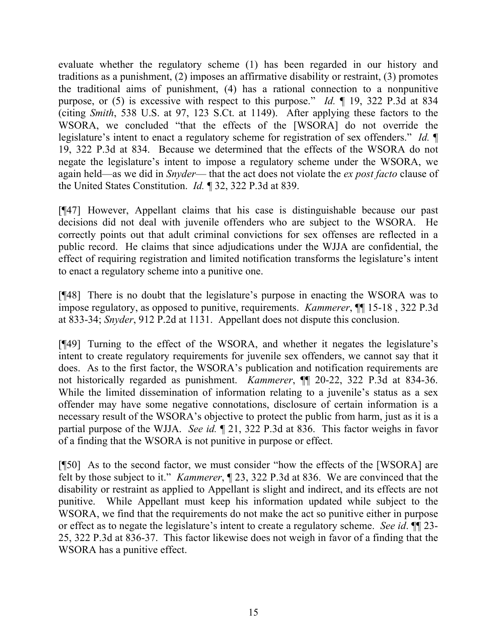evaluate whether the regulatory scheme (1) has been regarded in our history and traditions as a punishment, (2) imposes an affirmative disability or restraint, (3) promotes the traditional aims of punishment, (4) has a rational connection to a nonpunitive purpose, or (5) is excessive with respect to this purpose." *Id.* ¶ 19, 322 P.3d at 834 (citing *Smith*, 538 U.S. at 97, 123 S.Ct. at 1149). After applying these factors to the WSORA, we concluded "that the effects of the [WSORA] do not override the legislature's intent to enact a regulatory scheme for registration of sex offenders." *Id.* ¶ 19, 322 P.3d at 834. Because we determined that the effects of the WSORA do not negate the legislature's intent to impose a regulatory scheme under the WSORA, we again held—as we did in *Snyder*— that the act does not violate the *ex post facto* clause of the United States Constitution. *Id.* ¶ 32, 322 P.3d at 839.

[¶47] However, Appellant claims that his case is distinguishable because our past decisions did not deal with juvenile offenders who are subject to the WSORA. He correctly points out that adult criminal convictions for sex offenses are reflected in a public record. He claims that since adjudications under the WJJA are confidential, the effect of requiring registration and limited notification transforms the legislature's intent to enact a regulatory scheme into a punitive one.

[¶48] There is no doubt that the legislature's purpose in enacting the WSORA was to impose regulatory, as opposed to punitive, requirements. *Kammerer*, ¶¶ 15-18 , 322 P.3d at 833-34; *Snyder*, 912 P.2d at 1131. Appellant does not dispute this conclusion.

[¶49] Turning to the effect of the WSORA, and whether it negates the legislature's intent to create regulatory requirements for juvenile sex offenders, we cannot say that it does. As to the first factor, the WSORA's publication and notification requirements are not historically regarded as punishment. *Kammerer*, ¶¶ 20-22, 322 P.3d at 834-36. While the limited dissemination of information relating to a juvenile's status as a sex offender may have some negative connotations, disclosure of certain information is a necessary result of the WSORA's objective to protect the public from harm, just as it is a partial purpose of the WJJA. *See id.* ¶ 21, 322 P.3d at 836. This factor weighs in favor of a finding that the WSORA is not punitive in purpose or effect.

[¶50] As to the second factor, we must consider "how the effects of the [WSORA] are felt by those subject to it." *Kammerer*, ¶ 23, 322 P.3d at 836. We are convinced that the disability or restraint as applied to Appellant is slight and indirect, and its effects are not punitive. While Appellant must keep his information updated while subject to the WSORA, we find that the requirements do not make the act so punitive either in purpose or effect as to negate the legislature's intent to create a regulatory scheme. *See id*. ¶¶ 23- 25, 322 P.3d at 836-37. This factor likewise does not weigh in favor of a finding that the WSORA has a punitive effect.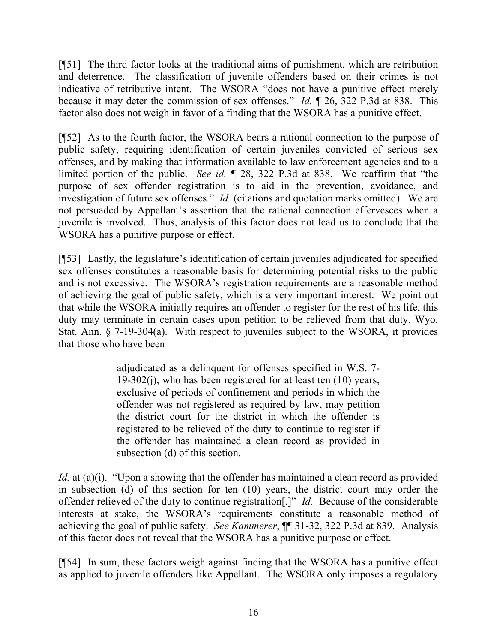[¶51] The third factor looks at the traditional aims of punishment, which are retribution and deterrence. The classification of juvenile offenders based on their crimes is not indicative of retributive intent. The WSORA "does not have a punitive effect merely because it may deter the commission of sex offenses." *Id.* ¶ 26, 322 P.3d at 838. This factor also does not weigh in favor of a finding that the WSORA has a punitive effect.

[¶52] As to the fourth factor, the WSORA bears a rational connection to the purpose of public safety, requiring identification of certain juveniles convicted of serious sex offenses, and by making that information available to law enforcement agencies and to a limited portion of the public. *See id.* ¶ 28, 322 P.3d at 838. We reaffirm that "the purpose of sex offender registration is to aid in the prevention, avoidance, and investigation of future sex offenses." *Id.* (citations and quotation marks omitted). We are not persuaded by Appellant's assertion that the rational connection effervesces when a juvenile is involved. Thus, analysis of this factor does not lead us to conclude that the WSORA has a punitive purpose or effect.

[¶53] Lastly, the legislature's identification of certain juveniles adjudicated for specified sex offenses constitutes a reasonable basis for determining potential risks to the public and is not excessive. The WSORA's registration requirements are a reasonable method of achieving the goal of public safety, which is a very important interest. We point out that while the WSORA initially requires an offender to register for the rest of his life, this duty may terminate in certain cases upon petition to be relieved from that duty. Wyo. Stat. Ann. § 7-19-304(a). With respect to juveniles subject to the WSORA, it provides that those who have been

> adjudicated as a delinquent for offenses specified in W.S. 7-  $19-302(i)$ , who has been registered for at least ten  $(10)$  years, exclusive of periods of confinement and periods in which the offender was not registered as required by law, may petition the district court for the district in which the offender is registered to be relieved of the duty to continue to register if the offender has maintained a clean record as provided in subsection (d) of this section.

*Id.* at (a)(i). "Upon a showing that the offender has maintained a clean record as provided in subsection (d) of this section for ten (10) years, the district court may order the offender relieved of the duty to continue registration[.]" *Id.* Because of the considerable interests at stake, the WSORA's requirements constitute a reasonable method of achieving the goal of public safety. *See Kammerer*, ¶¶ 31-32, 322 P.3d at 839. Analysis of this factor does not reveal that the WSORA has a punitive purpose or effect.

[¶54] In sum, these factors weigh against finding that the WSORA has a punitive effect as applied to juvenile offenders like Appellant. The WSORA only imposes a regulatory